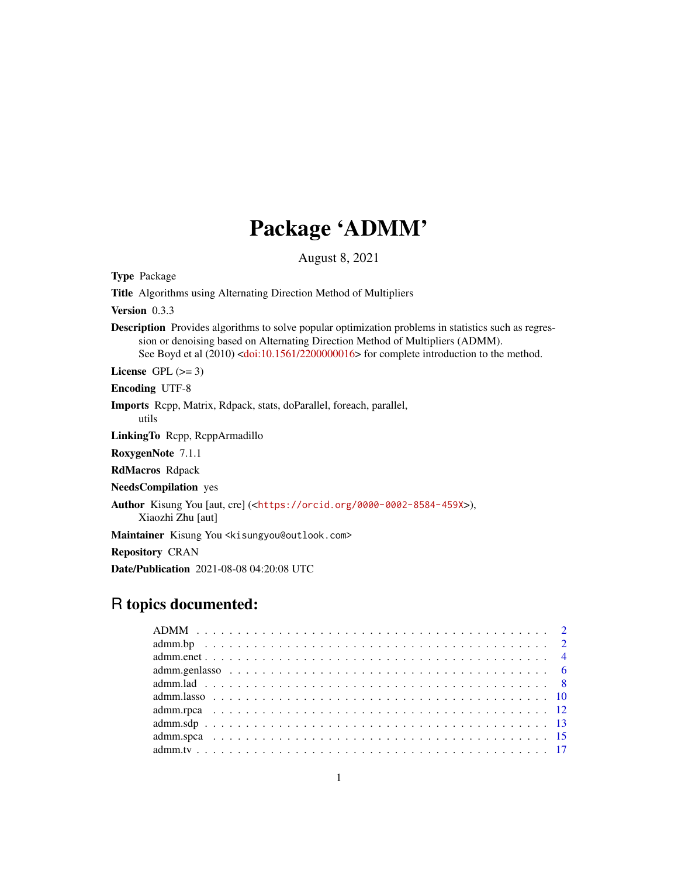## Package 'ADMM'

August 8, 2021

Type Package Title Algorithms using Alternating Direction Method of Multipliers Version 0.3.3 Description Provides algorithms to solve popular optimization problems in statistics such as regression or denoising based on Alternating Direction Method of Multipliers (ADMM). See Boyd et al (2010) [<doi:10.1561/2200000016>](https://doi.org/10.1561/2200000016) for complete introduction to the method. License GPL  $(>= 3)$ Encoding UTF-8 Imports Rcpp, Matrix, Rdpack, stats, doParallel, foreach, parallel, utils LinkingTo Rcpp, RcppArmadillo RoxygenNote 7.1.1 RdMacros Rdpack NeedsCompilation yes Author Kisung You [aut, cre] (<<https://orcid.org/0000-0002-8584-459X>>), Xiaozhi Zhu [aut] Maintainer Kisung You <kisungyou@outlook.com> Repository CRAN Date/Publication 2021-08-08 04:20:08 UTC

## R topics documented: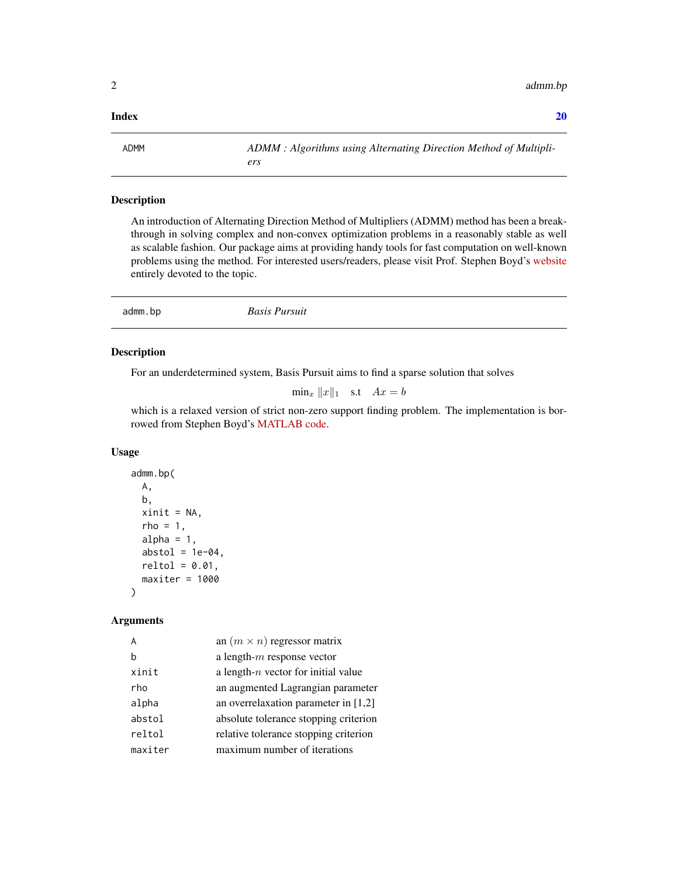#### <span id="page-1-0"></span> $\bf 1$ ndex  $\bf 20$  $\bf 20$

ADMM *ADMM : Algorithms using Alternating Direction Method of Multipliers*

#### Description

An introduction of Alternating Direction Method of Multipliers (ADMM) method has been a breakthrough in solving complex and non-convex optimization problems in a reasonably stable as well as scalable fashion. Our package aims at providing handy tools for fast computation on well-known problems using the method. For interested users/readers, please visit Prof. Stephen Boyd's [website](https://stanford.edu/~boyd/papers/admm_distr_stats.html) entirely devoted to the topic.

|--|

#### Description

For an underdetermined system, Basis Pursuit aims to find a sparse solution that solves

 $\min_x \|x\|_1$  s.t  $Ax = b$ 

which is a relaxed version of strict non-zero support finding problem. The implementation is borrowed from Stephen Boyd's [MATLAB code.](https://web.stanford.edu/~boyd/papers/admm/basis_pursuit/basis_pursuit.html)

#### Usage

```
admm.bp(
 A,
 b,
 xinit = NA,
  rho = 1,
  alpha = 1,
  abstol = 1e-04,
 reltol = 0.01,maxiter = 1000)
```
#### Arguments

|         | an $(m \times n)$ regressor matrix     |
|---------|----------------------------------------|
|         | a length- $m$ response vector          |
| xinit   | a length- $n$ vector for initial value |
| rho     | an augmented Lagrangian parameter      |
| alpha   | an overrelaxation parameter in $[1,2]$ |
| abstol  | absolute tolerance stopping criterion  |
| reltol  | relative tolerance stopping criterion  |
| maxiter | maximum number of iterations           |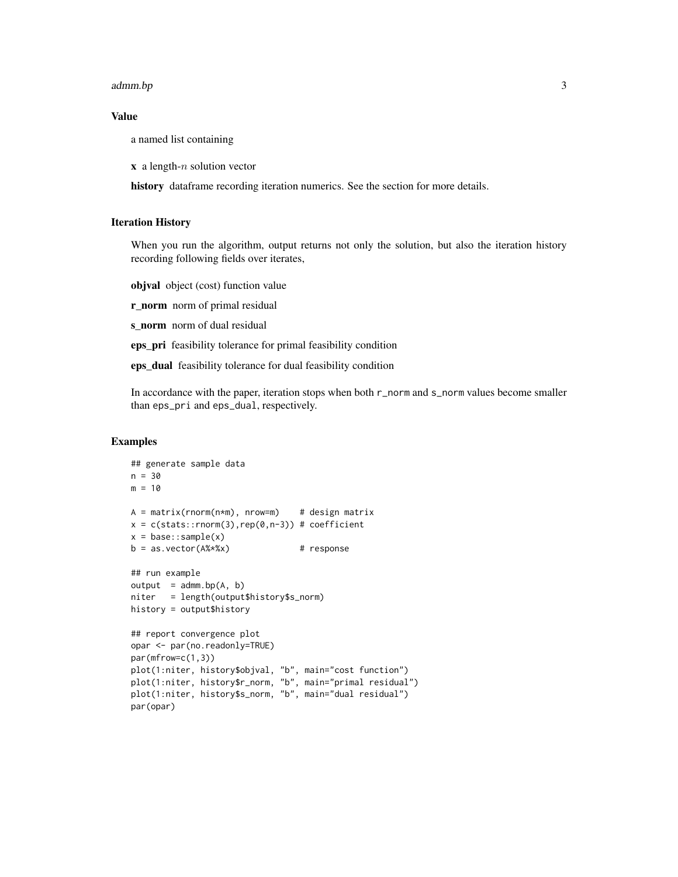#### admm.bp 3

#### Value

a named list containing

 $x$  a length-*n* solution vector

history dataframe recording iteration numerics. See the section for more details.

#### Iteration History

When you run the algorithm, output returns not only the solution, but also the iteration history recording following fields over iterates,

objval object (cost) function value

r\_norm norm of primal residual

s\_norm norm of dual residual

eps\_pri feasibility tolerance for primal feasibility condition

eps\_dual feasibility tolerance for dual feasibility condition

In accordance with the paper, iteration stops when both r\_norm and s\_norm values become smaller than eps\_pri and eps\_dual, respectively.

```
## generate sample data
n = 30
m = 10A = matrix(rnorm(n*m), nrow=m) # design matrix
x = c(stats::rnorm(3),rep(0,n-3)) # coefficient
x = base::sample(x)b = as.vector(A%*%x) # response
## run example
output = admm.bp(A, b)niter = length(output$history$s_norm)
history = output$history
## report convergence plot
opar <- par(no.readonly=TRUE)
par(mfrow=c(1,3))
plot(1:niter, history$objval, "b", main="cost function")
plot(1:niter, history$r_norm, "b", main="primal residual")
plot(1:niter, history$s_norm, "b", main="dual residual")
par(opar)
```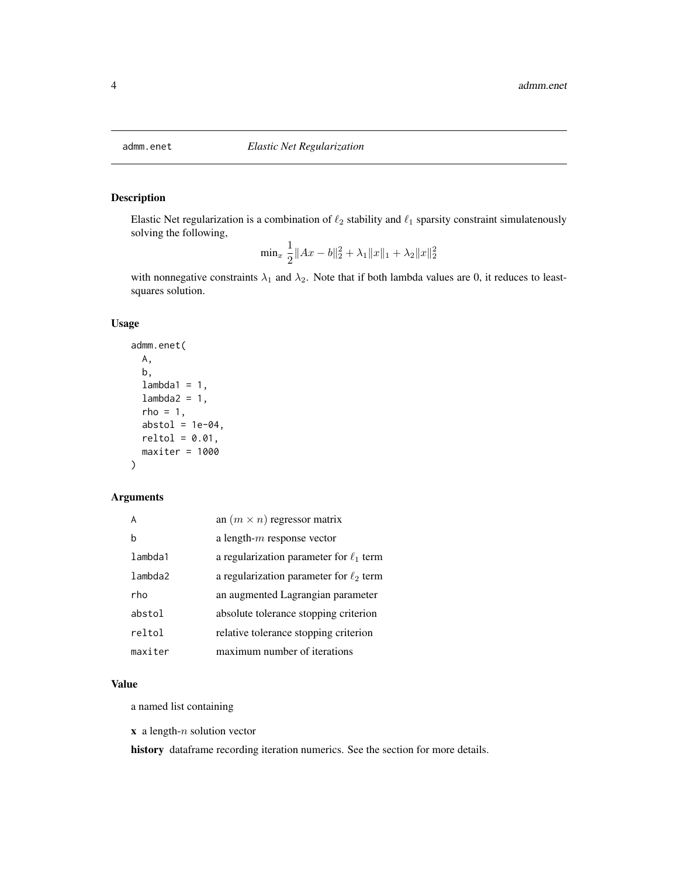<span id="page-3-0"></span>

Elastic Net regularization is a combination of  $\ell_2$  stability and  $\ell_1$  sparsity constraint simulatenously solving the following,

$$
\min_{x} \frac{1}{2} ||Ax - b||_2^2 + \lambda_1 ||x||_1 + \lambda_2 ||x||_2^2
$$

with nonnegative constraints  $\lambda_1$  and  $\lambda_2$ . Note that if both lambda values are 0, it reduces to leastsquares solution.

#### Usage

```
admm.enet(
 A,
 b,
  lambda1 = 1,
  lambda2 = 1,
  rho = 1,
  abstol = 1e-04,
  reltol = 0.01,maxiter = 1000
)
```
#### Arguments

|         | an $(m \times n)$ regressor matrix           |
|---------|----------------------------------------------|
| h       | a length- $m$ response vector                |
| lambda1 | a regularization parameter for $\ell_1$ term |
| lambda2 | a regularization parameter for $\ell_2$ term |
| rho     | an augmented Lagrangian parameter            |
| abstol  | absolute tolerance stopping criterion        |
| reltol  | relative tolerance stopping criterion        |
| maxiter | maximum number of iterations                 |

#### Value

a named list containing

 $x$  a length- $n$  solution vector

history dataframe recording iteration numerics. See the section for more details.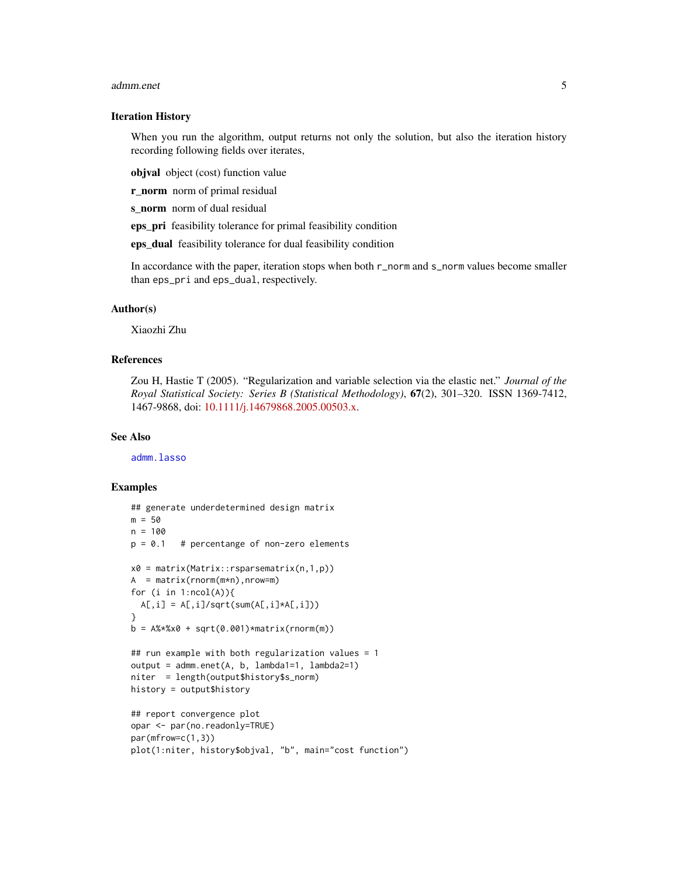#### <span id="page-4-0"></span>admm.enet 5

#### Iteration History

When you run the algorithm, output returns not only the solution, but also the iteration history recording following fields over iterates,

objval object (cost) function value

r\_norm norm of primal residual

s norm norm of dual residual

eps\_pri feasibility tolerance for primal feasibility condition

eps\_dual feasibility tolerance for dual feasibility condition

In accordance with the paper, iteration stops when both r\_norm and s\_norm values become smaller than eps\_pri and eps\_dual, respectively.

#### Author(s)

Xiaozhi Zhu

#### References

Zou H, Hastie T (2005). "Regularization and variable selection via the elastic net." *Journal of the Royal Statistical Society: Series B (Statistical Methodology)*, 67(2), 301–320. ISSN 1369-7412, 1467-9868, doi: [10.1111/j.14679868.2005.00503.x.](https://doi.org/10.1111/j.1467-9868.2005.00503.x)

#### See Also

[admm.lasso](#page-9-1)

```
## generate underdetermined design matrix
m = 50n = 100
p = 0.1 # percentange of non-zero elements
x0 = matrix(Matrix::rsparsematrix(n,1,p))
A = matrix(rnorm(m*n),nrow=m)
for (i in 1:ncol(A)){
  A[,i] = A[,i]/sqrt(sum(A[,i]*A[,i]))}
b = A%*%x0 + sqrt(0.001)*matrix(rnorm(m))
## run example with both regularization values = 1
output = admm.enet(A, b, lambda1=1, lambda2=1)
niter = length(output$history$s_norm)
history = output$history
## report convergence plot
opar <- par(no.readonly=TRUE)
par(mfrow=c(1,3))
plot(1:niter, history$objval, "b", main="cost function")
```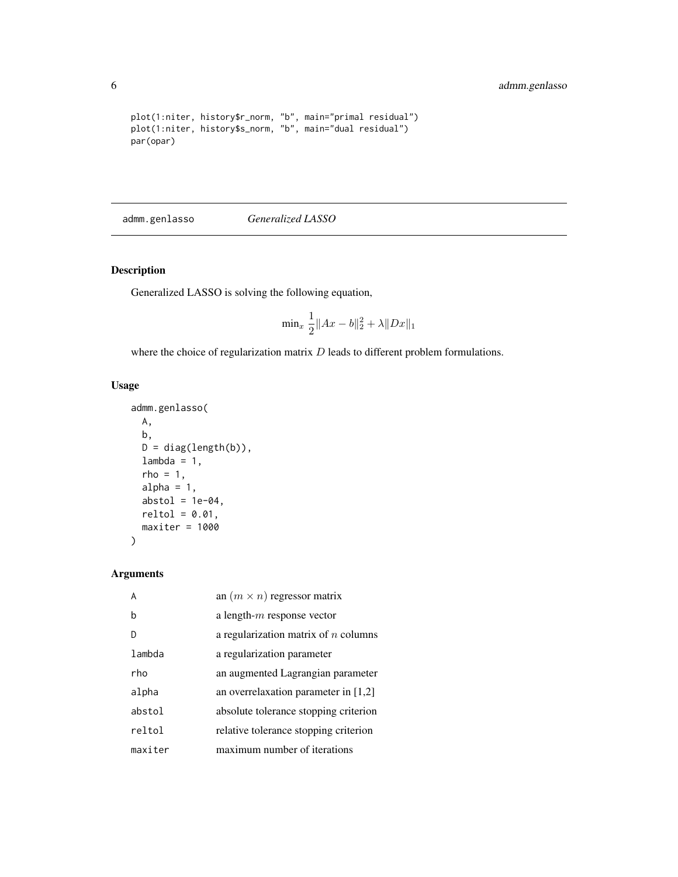```
plot(1:niter, history$r_norm, "b", main="primal residual")
plot(1:niter, history$s_norm, "b", main="dual residual")
par(opar)
```
admm.genlasso *Generalized LASSO*

### Description

Generalized LASSO is solving the following equation,

$$
\min_{x} \frac{1}{2} \|Ax - b\|_2^2 + \lambda \|Dx\|_1
$$

where the choice of regularization matrix  $D$  leads to different problem formulations.

#### Usage

```
admm.genlasso(
 A,
 b,
 D = diag(length(b)),lambda = 1,
 rho = 1,
 alpha = 1,
 abstol = 1e-04,
 reltol = 0.01,maxiter = 1000
)
```
#### Arguments

| A       | an $(m \times n)$ regressor matrix     |
|---------|----------------------------------------|
| b       | a length- $m$ response vector          |
|         | a regularization matrix of $n$ columns |
| lambda  | a regularization parameter             |
| rho     | an augmented Lagrangian parameter      |
| alpha   | an overrelaxation parameter in $[1,2]$ |
| abstol  | absolute tolerance stopping criterion  |
| reltol  | relative tolerance stopping criterion  |
| maxiter | maximum number of iterations           |

<span id="page-5-0"></span>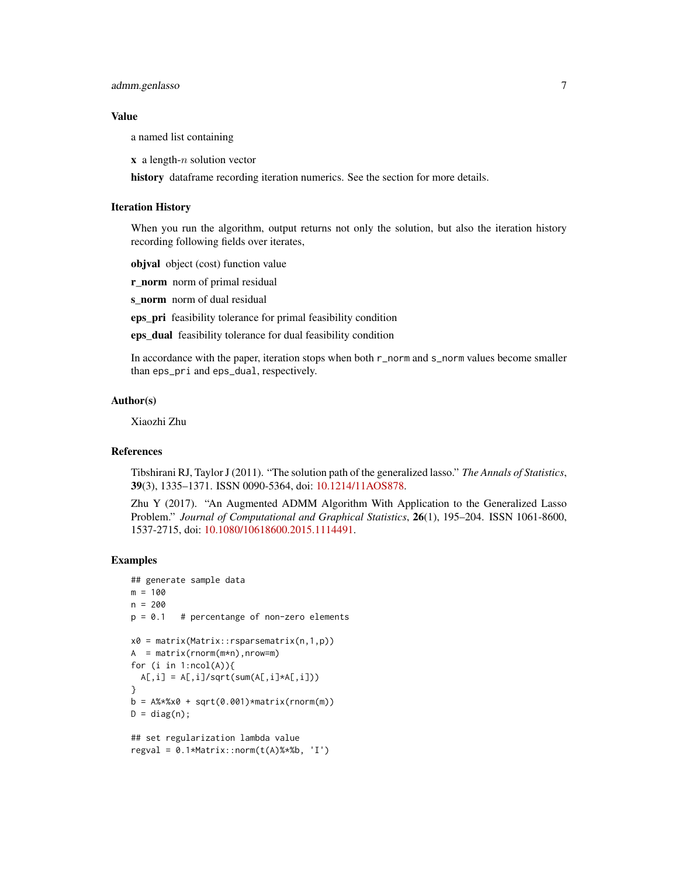#### admm.genlasso 7

#### Value

a named list containing

 $x$  a length-*n* solution vector

history dataframe recording iteration numerics. See the section for more details.

#### Iteration History

When you run the algorithm, output returns not only the solution, but also the iteration history recording following fields over iterates,

objval object (cost) function value

**r\_norm** norm of primal residual

s norm norm of dual residual

eps\_pri feasibility tolerance for primal feasibility condition

eps\_dual feasibility tolerance for dual feasibility condition

In accordance with the paper, iteration stops when both r\_norm and s\_norm values become smaller than eps\_pri and eps\_dual, respectively.

#### Author(s)

Xiaozhi Zhu

#### References

Tibshirani RJ, Taylor J (2011). "The solution path of the generalized lasso." *The Annals of Statistics*, 39(3), 1335–1371. ISSN 0090-5364, doi: [10.1214/11AOS878.](https://doi.org/10.1214/11-AOS878)

Zhu Y (2017). "An Augmented ADMM Algorithm With Application to the Generalized Lasso Problem." *Journal of Computational and Graphical Statistics*, 26(1), 195–204. ISSN 1061-8600, 1537-2715, doi: [10.1080/10618600.2015.1114491.](https://doi.org/10.1080/10618600.2015.1114491)

```
## generate sample data
m = 100n = 200
p = 0.1 # percentange of non-zero elements
x0 = matrix(Matrix::rsparsematrix(n,1,p))
A = matrix(rnorm(m*n),nrow=m)for (i in 1:ncol(A)){
  A[,i] = A[,i]/sqrt(sum(A[,i]*A[,i]))}
b = A% * %x0 + sqrt(0.001) * matrix(rnorm(m))D = diag(n);## set regularization lambda value
regular = 0.1*Matrix::norm(t(A)**b, 'I')
```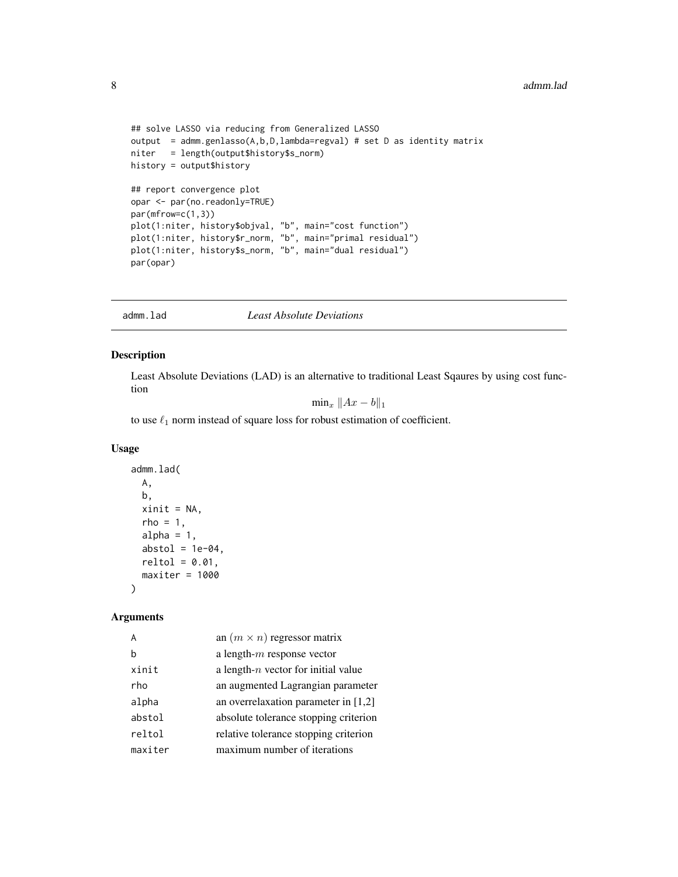```
## solve LASSO via reducing from Generalized LASSO
output = admm.genlasso(A,b,D,lambda=regval) # set D as identity matrix
niter = length(output$history$s_norm)
history = output$history
## report convergence plot
opar <- par(no.readonly=TRUE)
par(mfrow=c(1,3))
plot(1:niter, history$objval, "b", main="cost function")
plot(1:niter, history$r_norm, "b", main="primal residual")
plot(1:niter, history$s_norm, "b", main="dual residual")
par(opar)
```
admm.lad *Least Absolute Deviations*

#### Description

Least Absolute Deviations (LAD) is an alternative to traditional Least Sqaures by using cost function

 $\min_x \|Ax - b\|_1$ 

to use  $\ell_1$  norm instead of square loss for robust estimation of coefficient.

#### Usage

```
admm.lad(
 A,
 b,
 xinit = NA,
 rho = 1,
 alpha = 1,
 abstol = 1e-04,
 reltol = 0.01,maxiter = 1000)
```
#### Arguments

|         | an $(m \times n)$ regressor matrix     |
|---------|----------------------------------------|
|         | a length- $m$ response vector          |
| xinit   | a length- $n$ vector for initial value |
| rho     | an augmented Lagrangian parameter      |
| alpha   | an overrelaxation parameter in $[1,2]$ |
| abstol  | absolute tolerance stopping criterion  |
| reltol  | relative tolerance stopping criterion  |
| maxiter | maximum number of iterations           |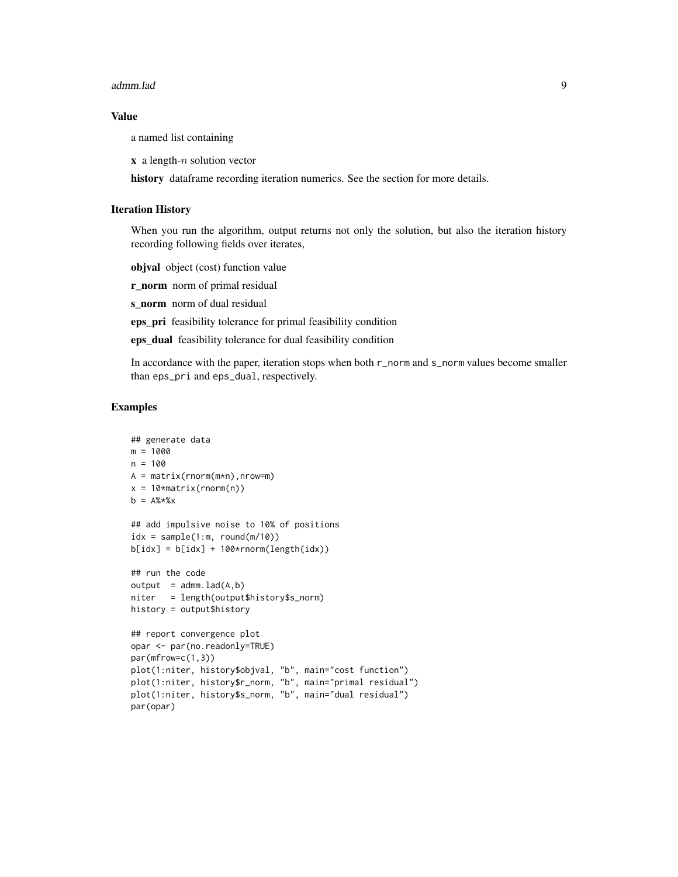#### admm.lad 9

#### Value

a named list containing

 $x$  a length- $n$  solution vector

history dataframe recording iteration numerics. See the section for more details.

#### Iteration History

When you run the algorithm, output returns not only the solution, but also the iteration history recording following fields over iterates,

objval object (cost) function value

**r\_norm** norm of primal residual

s\_norm norm of dual residual

eps\_pri feasibility tolerance for primal feasibility condition

eps\_dual feasibility tolerance for dual feasibility condition

In accordance with the paper, iteration stops when both r\_norm and s\_norm values become smaller than eps\_pri and eps\_dual, respectively.

```
## generate data
m = 1000
n = 100
A = matrix(rnorm(m*n),nrow=m)
x = 10*matrix(rnorm(n))b = A\%* \times x## add impulsive noise to 10% of positions
idx = sample(1:m, round(m/10))blidx] = blidx] + 100*rnorm(length(idx))## run the code
output = admmu1ad(A,b)niter = length(output$history$s_norm)
history = output$history
## report convergence plot
opar <- par(no.readonly=TRUE)
par(mfrow=c(1,3))
plot(1:niter, history$objval, "b", main="cost function")
plot(1:niter, history$r_norm, "b", main="primal residual")
plot(1:niter, history$s_norm, "b", main="dual residual")
par(opar)
```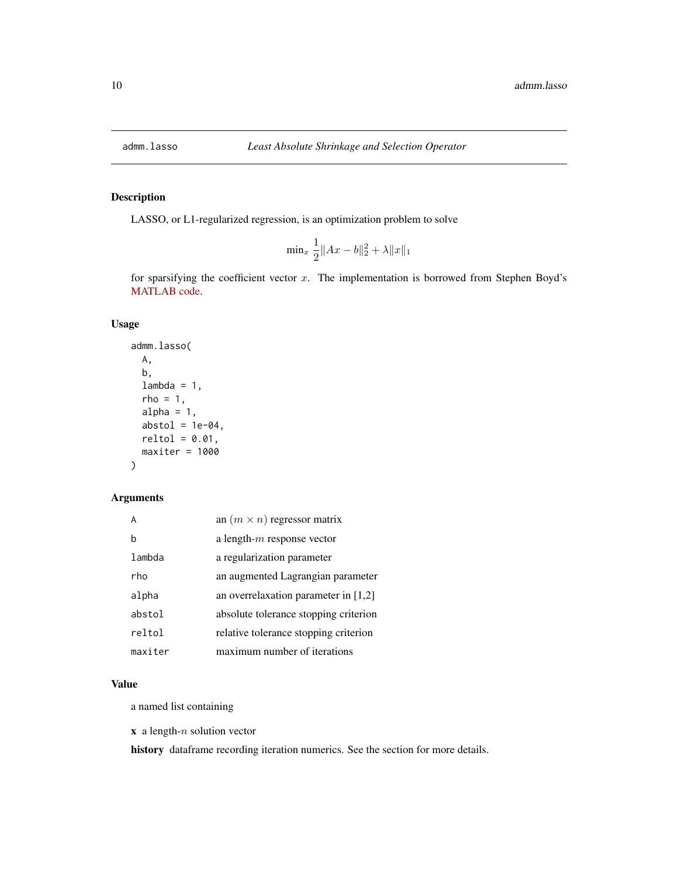<span id="page-9-1"></span><span id="page-9-0"></span>

LASSO, or L1-regularized regression, is an optimization problem to solve

$$
\min_{x} \frac{1}{2} \|Ax - b\|_2^2 + \lambda \|x\|_1
$$

for sparsifying the coefficient vector  $x$ . The implementation is borrowed from Stephen Boyd's [MATLAB code.](https://stanford.edu/~boyd/papers/admm/lasso/lasso.html)

#### Usage

```
admm.lasso(
 A,
 b,
 lambda = 1,
 rho = 1,
 alpha = 1,
 abstol = 1e-04,
 reltol = 0.01,maxiter = 1000)
```
#### Arguments

|         | an $(m \times n)$ regressor matrix     |
|---------|----------------------------------------|
| h       | a length- $m$ response vector          |
| lambda  | a regularization parameter             |
| rho     | an augmented Lagrangian parameter      |
| alpha   | an overrelaxation parameter in $[1,2]$ |
| abstol  | absolute tolerance stopping criterion  |
| reltol  | relative tolerance stopping criterion  |
| maxiter | maximum number of iterations           |

#### Value

a named list containing

 $x$  a length- $n$  solution vector

history dataframe recording iteration numerics. See the section for more details.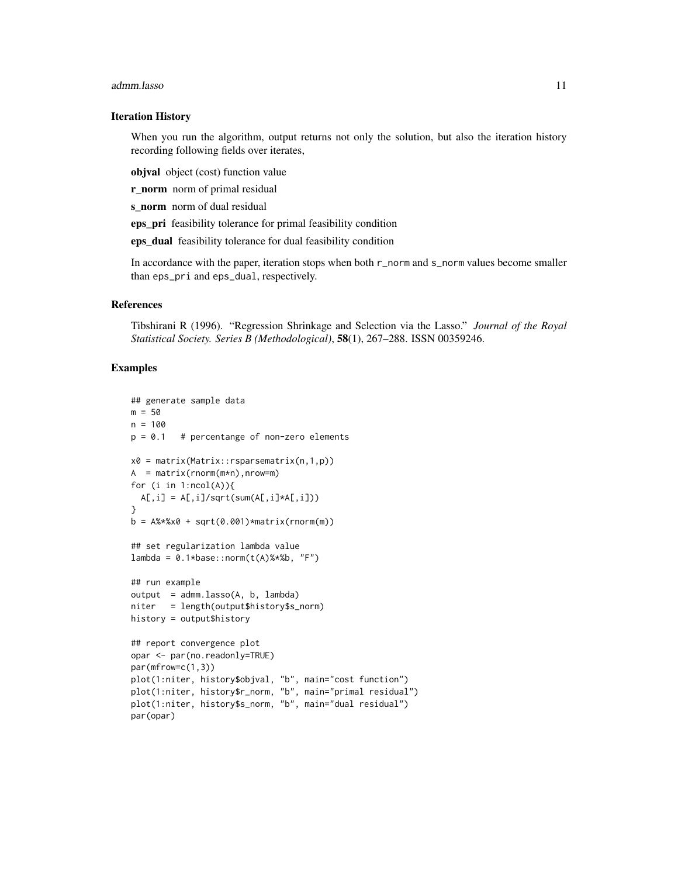#### admm.lasso 11

#### Iteration History

When you run the algorithm, output returns not only the solution, but also the iteration history recording following fields over iterates,

objval object (cost) function value

**r\_norm** norm of primal residual

s\_norm norm of dual residual

eps\_pri feasibility tolerance for primal feasibility condition

eps\_dual feasibility tolerance for dual feasibility condition

In accordance with the paper, iteration stops when both r\_norm and s\_norm values become smaller than eps\_pri and eps\_dual, respectively.

#### References

Tibshirani R (1996). "Regression Shrinkage and Selection via the Lasso." *Journal of the Royal Statistical Society. Series B (Methodological)*, 58(1), 267–288. ISSN 00359246.

```
## generate sample data
m = 50n = 100p = 0.1 # percentange of non-zero elements
x0 = matrix(Matrix::rsparsematrix(n,1,p))A = matrix(rnorm(m*n),nrow=m)
for (i in 1:ncol(A)){
  A[,i] = A[,i]/sqrt(sum(A[,i]*A[,i]))}
b = A% * %x0 + sqrt(0.001) * matrix(rnorm(m))## set regularization lambda value
lambda = 0.1 * base::norm(t(A) % * % b, "F")## run example
output = admm.lasso(A, b, lambda)
niter = length(output$history$s_norm)
history = output$history
## report convergence plot
opar <- par(no.readonly=TRUE)
par(mfrow=c(1,3))
plot(1:niter, history$objval, "b", main="cost function")
plot(1:niter, history$r_norm, "b", main="primal residual")
plot(1:niter, history$s_norm, "b", main="dual residual")
par(opar)
```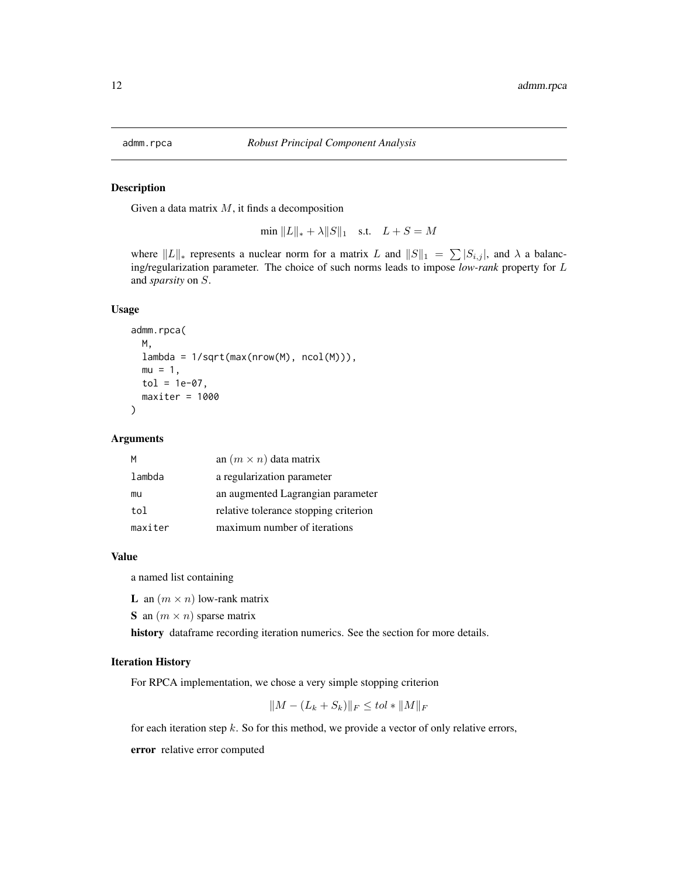<span id="page-11-0"></span>

Given a data matrix  $M$ , it finds a decomposition

min  $||L||_* + \lambda ||S||_1$  s.t.  $L + S = M$ 

where  $||L||_*$  represents a nuclear norm for a matrix L and  $||S||_1 = \sum_{i} |S_{i,j}|$ , and  $\lambda$  a balancing/regularization parameter. The choice of such norms leads to impose *low-rank* property for L and *sparsity* on S.

#### Usage

```
admm.rpca(
 M,
 lambda = 1/sqrt(max(nrow(M), ncol(M))),
 mu = 1,
 tol = 1e-07,maxiter = 1000)
```
#### Arguments

| M       | an $(m \times n)$ data matrix         |
|---------|---------------------------------------|
| lambda  | a regularization parameter            |
| mu      | an augmented Lagrangian parameter     |
| tol     | relative tolerance stopping criterion |
| maxiter | maximum number of iterations          |

#### Value

a named list containing

**L** an  $(m \times n)$  low-rank matrix

S an  $(m \times n)$  sparse matrix

history dataframe recording iteration numerics. See the section for more details.

#### Iteration History

For RPCA implementation, we chose a very simple stopping criterion

$$
||M - (L_k + S_k)||_F \le tol * ||M||_F
$$

for each iteration step  $k$ . So for this method, we provide a vector of only relative errors,

error relative error computed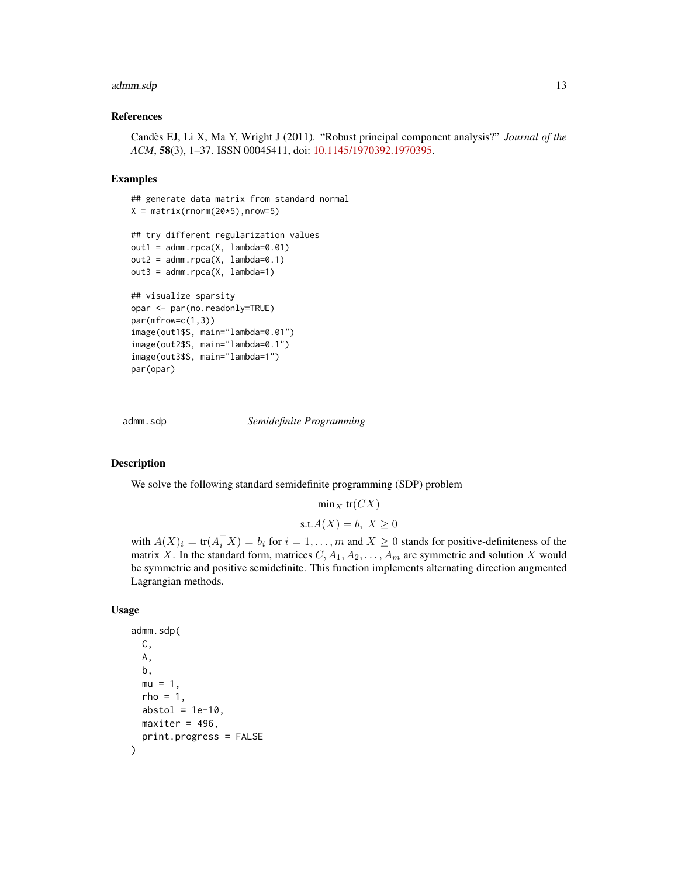#### <span id="page-12-0"></span>admm.sdp 13

#### References

Candès EJ, Li X, Ma Y, Wright J (2011). "Robust principal component analysis?" *Journal of the ACM*, 58(3), 1–37. ISSN 00045411, doi: [10.1145/1970392.1970395.](https://doi.org/10.1145/1970392.1970395)

#### Examples

```
## generate data matrix from standard normal
X = matrix(rnorm(20*5), nrow=5)## try different regularization values
out1 = admm.rpca(X, lambda=0.01)out2 = admm.rpca(X, lambda=0.1)out3 = admm.rpca(X, lambda=1)## visualize sparsity
opar <- par(no.readonly=TRUE)
par(mfrow=c(1,3))
image(out1$S, main="lambda=0.01")
image(out2$S, main="lambda=0.1")
image(out3$S, main="lambda=1")
par(opar)
```
admm.sdp *Semidefinite Programming*

#### Description

We solve the following standard semidefinite programming (SDP) problem

 $\min_X\,\text{tr}(CX)$ 

$$
s.t. A(X) = b, X \ge 0
$$

with  $A(X)_i = \text{tr}(A_i^\top X) = b_i$  for  $i = 1, ..., m$  and  $X \ge 0$  stands for positive-definiteness of the matrix X. In the standard form, matrices  $C, A_1, A_2, \ldots, A_m$  are symmetric and solution X would be symmetric and positive semidefinite. This function implements alternating direction augmented Lagrangian methods.

#### Usage

```
admm.sdp(
 C,
 A,
 b,
 mu = 1,
 rho = 1,
  abstol = 1e-10,
 maxiter = 496,
 print.progress = FALSE
)
```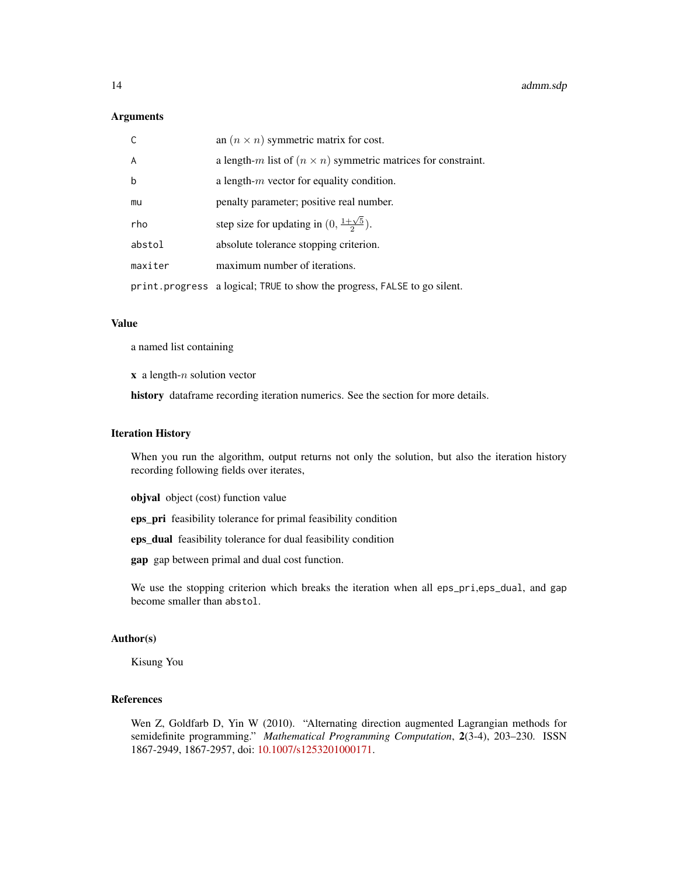#### **Arguments**

| $\mathsf{C}$   | an $(n \times n)$ symmetric matrix for cost.                              |
|----------------|---------------------------------------------------------------------------|
| $\overline{A}$ | a length-m list of $(n \times n)$ symmetric matrices for constraint.      |
| $\mathsf b$    | a length- $m$ vector for equality condition.                              |
| mu             | penalty parameter; positive real number.                                  |
| rho            | step size for updating in $(0, \frac{1+\sqrt{5}}{2})$ .                   |
| abstol         | absolute tolerance stopping criterion.                                    |
| maxiter        | maximum number of iterations.                                             |
|                | print. progress a logical; TRUE to show the progress, FALSE to go silent. |

#### Value

a named list containing

 $x$  a length- $n$  solution vector

history dataframe recording iteration numerics. See the section for more details.

#### Iteration History

When you run the algorithm, output returns not only the solution, but also the iteration history recording following fields over iterates,

objval object (cost) function value

eps\_pri feasibility tolerance for primal feasibility condition

eps\_dual feasibility tolerance for dual feasibility condition

gap gap between primal and dual cost function.

We use the stopping criterion which breaks the iteration when all eps\_pri,eps\_dual, and gap become smaller than abstol.

#### Author(s)

Kisung You

#### References

Wen Z, Goldfarb D, Yin W (2010). "Alternating direction augmented Lagrangian methods for semidefinite programming." *Mathematical Programming Computation*, 2(3-4), 203–230. ISSN 1867-2949, 1867-2957, doi: [10.1007/s1253201000171.](https://doi.org/10.1007/s12532-010-0017-1)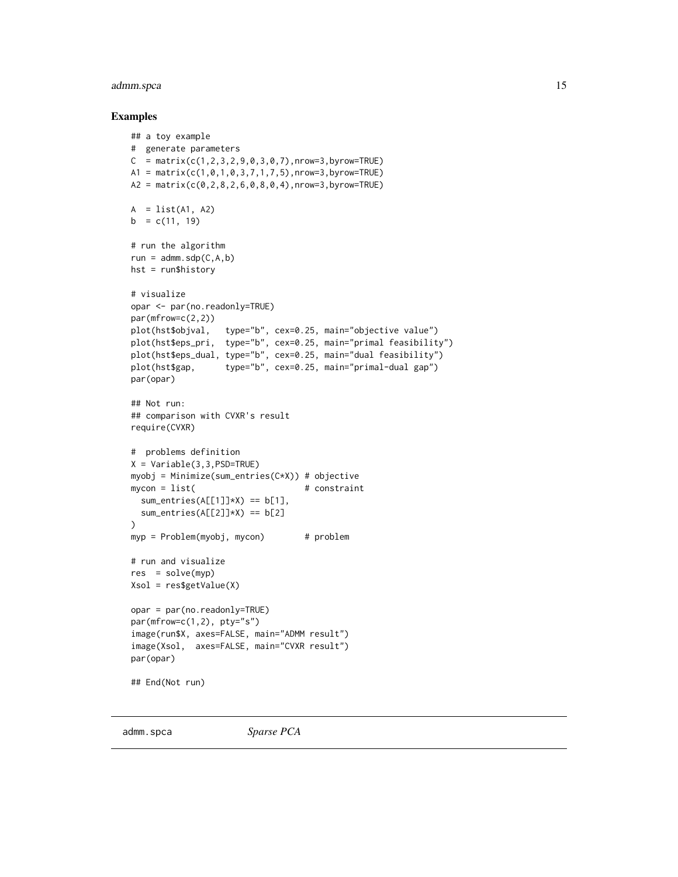#### <span id="page-14-0"></span>admm.spca 15

#### Examples

```
## a toy example
# generate parameters
C = matrix(c(1, 2, 3, 2, 9, 0, 3, 0, 7), nrow=3, by row=True)A1 = matrix(c(1,0,1,0,3,7,1,7,5),nrow=3,byrow=TRUE)
A2 = matrix(c(0, 2, 8, 2, 6, 0, 8, 0, 4), nrow=3, by row=TRUE)A = list(A1, A2)b = c(11, 19)# run the algorithm
run = admm.sdp(C,A,b)hst = run$history
# visualize
opar <- par(no.readonly=TRUE)
par(mfrow=c(2,2))
plot(hst$objval, type="b", cex=0.25, main="objective value")
plot(hst$eps_pri, type="b", cex=0.25, main="primal feasibility")
plot(hst$eps_dual, type="b", cex=0.25, main="dual feasibility")
plot(hst$gap, type="b", cex=0.25, main="primal-dual gap")
par(opar)
## Not run:
## comparison with CVXR's result
require(CVXR)
# problems definition
X = \text{Variable}(3, 3, \text{PSD} = \text{TRUE})myobj = Minimize(sum_entries(C*X)) # objective
mycon = list( # constraintsum_entries(A[[1]]*X) == b[1],
  sum_entries(A[[2]]*X) == b[2]\mathcal{L}myp = Problem(myobj, mycon) # problem
# run and visualize
res = solve(myp)
Xsol = res$getValue(X)
opar = par(no.readonly=TRUE)
par(mfrow=c(1,2), pty="s")
image(run$X, axes=FALSE, main="ADMM result")
image(Xsol, axes=FALSE, main="CVXR result")
par(opar)
## End(Not run)
```
admm.spca *Sparse PCA*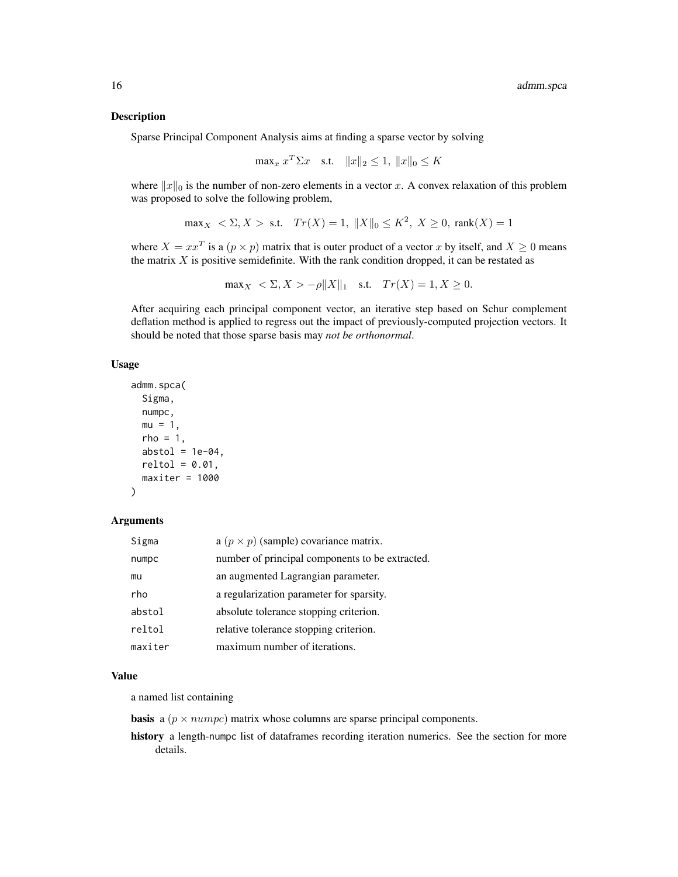Sparse Principal Component Analysis aims at finding a sparse vector by solving

$$
\max_{x} x^{T} \Sigma x \quad \text{s.t.} \quad \|x\|_{2} \le 1, \|x\|_{0} \le K
$$

where  $||x||_0$  is the number of non-zero elements in a vector x. A convex relaxation of this problem was proposed to solve the following problem,

$$
\max_X \ \ < \Sigma, X > \text{ s.t.} \quad Tr(X) = 1, \ \|X\|_0 \le K^2, \ X \ge 0, \ \text{rank}(X) = 1
$$

where  $X = xx^T$  is a  $(p \times p)$  matrix that is outer product of a vector x by itself, and  $X \ge 0$  means the matrix  $X$  is positive semidefinite. With the rank condition dropped, it can be restated as

$$
\max_X \ \ < \Sigma, X > -\rho \|X\|_1 \quad \text{s.t.} \quad Tr(X) = 1, X \ge 0.
$$

After acquiring each principal component vector, an iterative step based on Schur complement deflation method is applied to regress out the impact of previously-computed projection vectors. It should be noted that those sparse basis may *not be orthonormal*.

#### Usage

```
admm.spca(
 Sigma,
 numpc,
 mu = 1,
 rho = 1,
 abstol = 1e-04,
 reltol = 0.01,
 maxiter = 1000)
```
#### Arguments

| Sigma   | a $(p \times p)$ (sample) covariance matrix.    |
|---------|-------------------------------------------------|
| numpc   | number of principal components to be extracted. |
| mu      | an augmented Lagrangian parameter.              |
| rho     | a regularization parameter for sparsity.        |
| abstol  | absolute tolerance stopping criterion.          |
| reltol  | relative tolerance stopping criterion.          |
| maxiter | maximum number of iterations.                   |

#### Value

a named list containing

**basis** a ( $p \times number$ ) matrix whose columns are sparse principal components.

history a length-numpc list of dataframes recording iteration numerics. See the section for more details.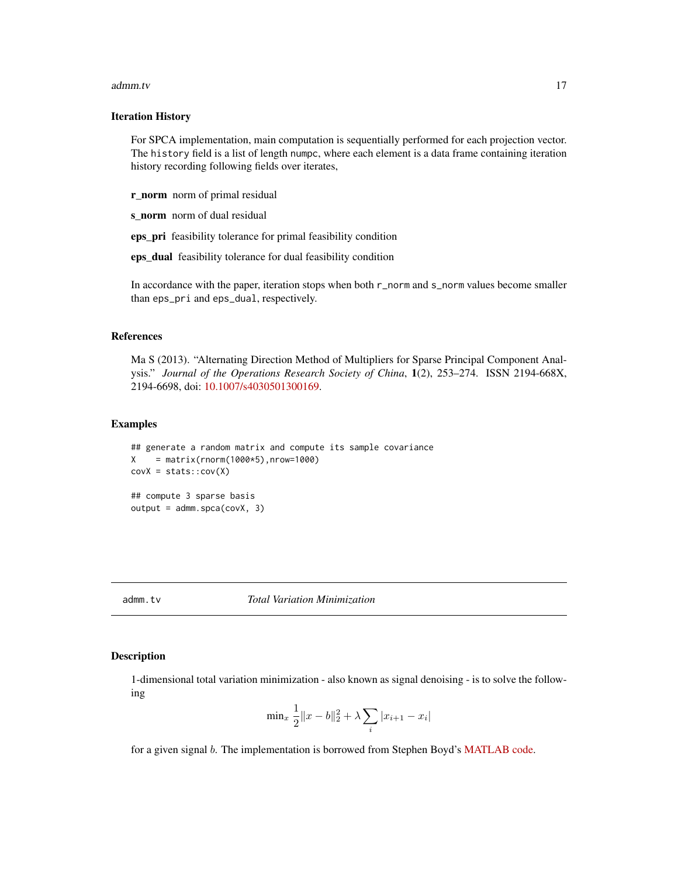#### <span id="page-16-0"></span>admm.tv 5.000 and 17 and 17 and 17 and 17 and 17 and 17 and 17 and 17 and 17 and 17 and 17 and 17 and 17 and 1

#### Iteration History

For SPCA implementation, main computation is sequentially performed for each projection vector. The history field is a list of length numpc, where each element is a data frame containing iteration history recording following fields over iterates,

r\_norm norm of primal residual

s\_norm norm of dual residual

eps\_pri feasibility tolerance for primal feasibility condition

eps\_dual feasibility tolerance for dual feasibility condition

In accordance with the paper, iteration stops when both r\_norm and s\_norm values become smaller than eps\_pri and eps\_dual, respectively.

#### References

Ma S (2013). "Alternating Direction Method of Multipliers for Sparse Principal Component Analysis." *Journal of the Operations Research Society of China*, 1(2), 253–274. ISSN 2194-668X, 2194-6698, doi: [10.1007/s4030501300169.](https://doi.org/10.1007/s40305-013-0016-9)

#### Examples

```
## generate a random matrix and compute its sample covariance
X = matrix(rnorm(1000*5), nrow=1000)covX = stats::cov(X)## compute 3 sparse basis
output = admm.spca(covX, 3)
```
admm.tv *Total Variation Minimization*

#### Description

1-dimensional total variation minimization - also known as signal denoising - is to solve the following

$$
\min_{x} \frac{1}{2} \|x - b\|_2^2 + \lambda \sum_{i} |x_{i+1} - x_i|
$$

for a given signal b. The implementation is borrowed from Stephen Boyd's [MATLAB code.](https://stanford.edu/~boyd/papers/admm/total_variation/total_variation.html)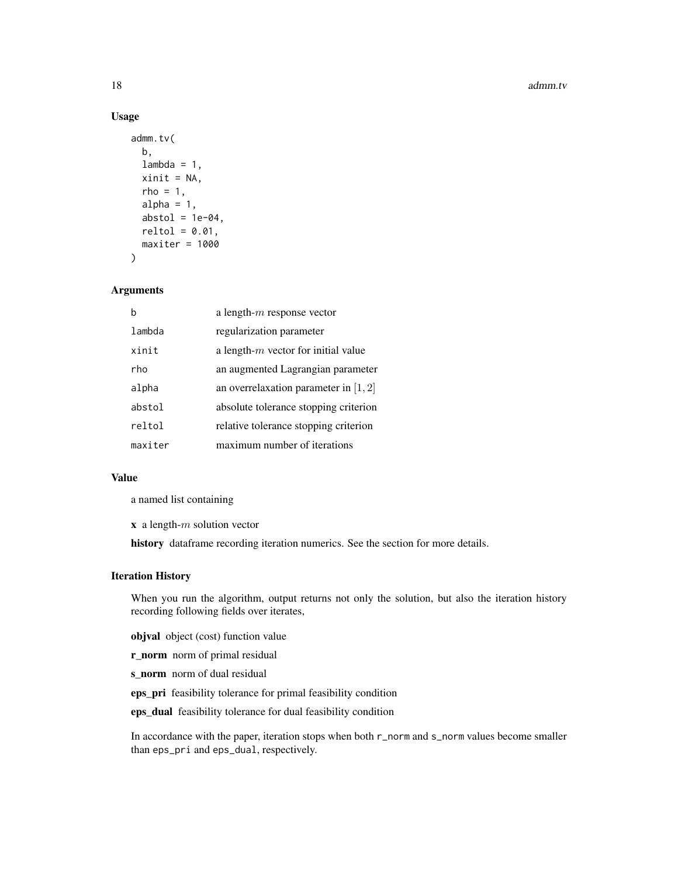#### 18 admin.tv

#### Usage

```
admm.tv(
  b,
  lambda = 1,
 xinit = NA,
  rho = 1,
  alpha = 1,
  abstol = 1e-04,
  reltol = 0.01,maxiter = 1000\lambda
```
#### Arguments

| b       | a length- $m$ response vector           |
|---------|-----------------------------------------|
| lambda  | regularization parameter                |
| xinit   | a length- $m$ vector for initial value  |
| rho     | an augmented Lagrangian parameter       |
| alpha   | an overrelaxation parameter in $[1, 2]$ |
| abstol  | absolute tolerance stopping criterion   |
| reltol  | relative tolerance stopping criterion   |
| maxiter | maximum number of iterations            |

#### Value

a named list containing

 $x$  a length- $m$  solution vector

history dataframe recording iteration numerics. See the section for more details.

#### Iteration History

When you run the algorithm, output returns not only the solution, but also the iteration history recording following fields over iterates,

objval object (cost) function value

r\_norm norm of primal residual

s\_norm norm of dual residual

eps\_pri feasibility tolerance for primal feasibility condition

eps\_dual feasibility tolerance for dual feasibility condition

In accordance with the paper, iteration stops when both r\_norm and s\_norm values become smaller than eps\_pri and eps\_dual, respectively.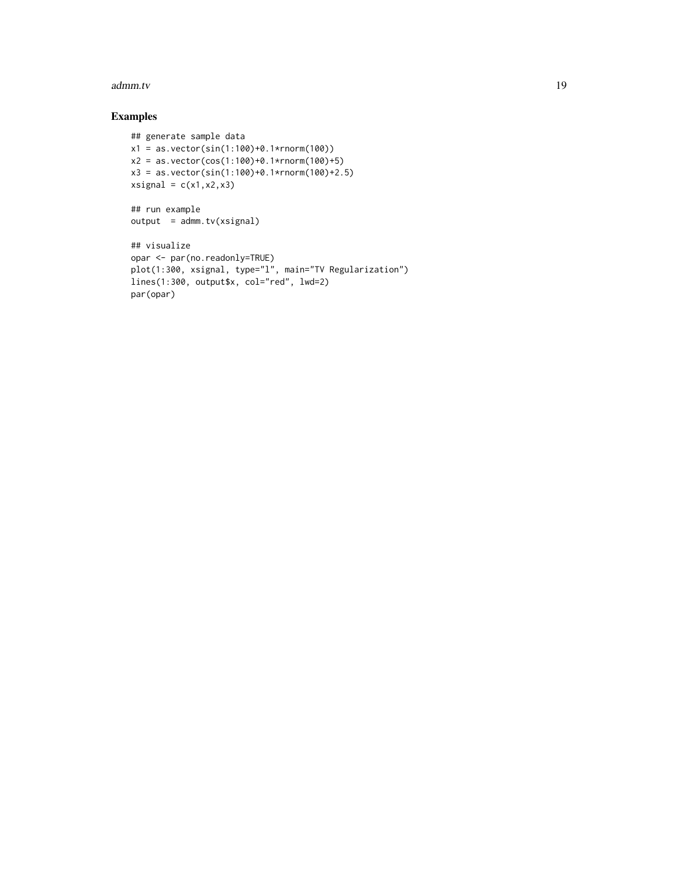#### admm.tv 5.000 and 19 and 19 and 19 and 19 and 19 and 19 and 19 and 19 and 19 and 19 and 19 and 19 and 19 and 19

```
## generate sample data
x1 = as.vector(sin(1:100)+0.1*rnorm(100))
x2 = as.vector(cos(1:100)+0.1*rnorm(100)+5)x3 = as.vector(sin(1:100)+0.1*rnorm(100)+2.5)
xsignal = c(x1, x2, x3)## run example
output = admm.tv(xsignal)## visualize
opar <- par(no.readonly=TRUE)
plot(1:300, xsignal, type="l", main="TV Regularization")
lines(1:300, output$x, col="red", lwd=2)
par(opar)
```